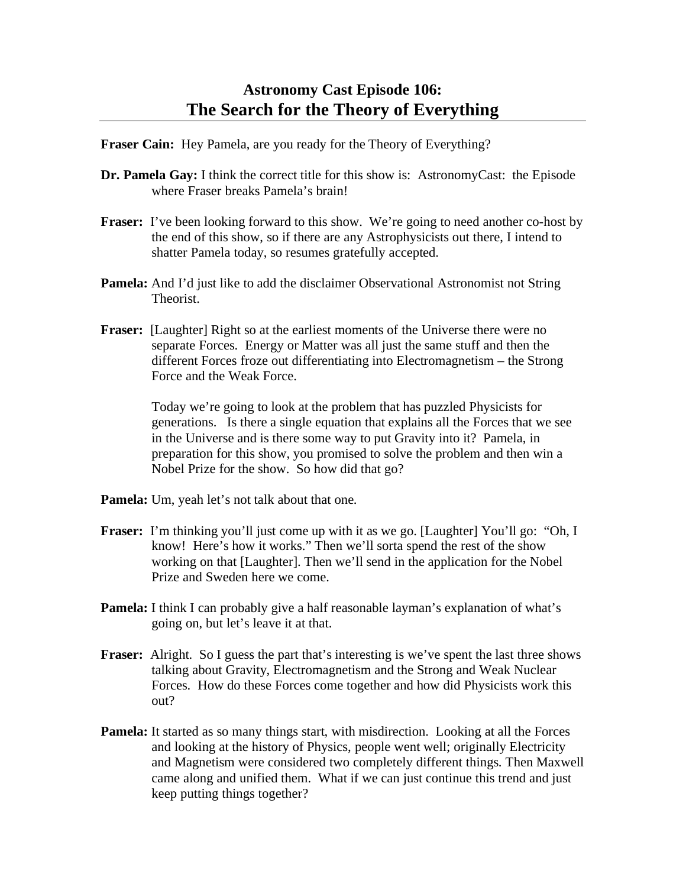**Fraser Cain:** Hey Pamela, are you ready for the Theory of Everything?

- **Dr. Pamela Gay:** I think the correct title for this show is: AstronomyCast: the Episode where Fraser breaks Pamela's brain!
- **Fraser:** I've been looking forward to this show. We're going to need another co-host by the end of this show, so if there are any Astrophysicists out there, I intend to shatter Pamela today, so resumes gratefully accepted.
- **Pamela:** And I'd just like to add the disclaimer Observational Astronomist not String Theorist.
- **Fraser:** [Laughter] Right so at the earliest moments of the Universe there were no separate Forces. Energy or Matter was all just the same stuff and then the different Forces froze out differentiating into Electromagnetism – the Strong Force and the Weak Force.

Today we're going to look at the problem that has puzzled Physicists for generations. Is there a single equation that explains all the Forces that we see in the Universe and is there some way to put Gravity into it? Pamela, in preparation for this show, you promised to solve the problem and then win a Nobel Prize for the show. So how did that go?

**Pamela:** Um, yeah let's not talk about that one.

- **Fraser:** I'm thinking you'll just come up with it as we go. [Laughter] You'll go: "Oh, I know! Here's how it works." Then we'll sorta spend the rest of the show working on that [Laughter]. Then we'll send in the application for the Nobel Prize and Sweden here we come.
- **Pamela:** I think I can probably give a half reasonable layman's explanation of what's going on, but let's leave it at that.
- **Fraser:** Alright. So I guess the part that's interesting is we've spent the last three shows talking about Gravity, Electromagnetism and the Strong and Weak Nuclear Forces. How do these Forces come together and how did Physicists work this out?
- **Pamela:** It started as so many things start, with misdirection. Looking at all the Forces and looking at the history of Physics, people went well; originally Electricity and Magnetism were considered two completely different things. Then Maxwell came along and unified them. What if we can just continue this trend and just keep putting things together?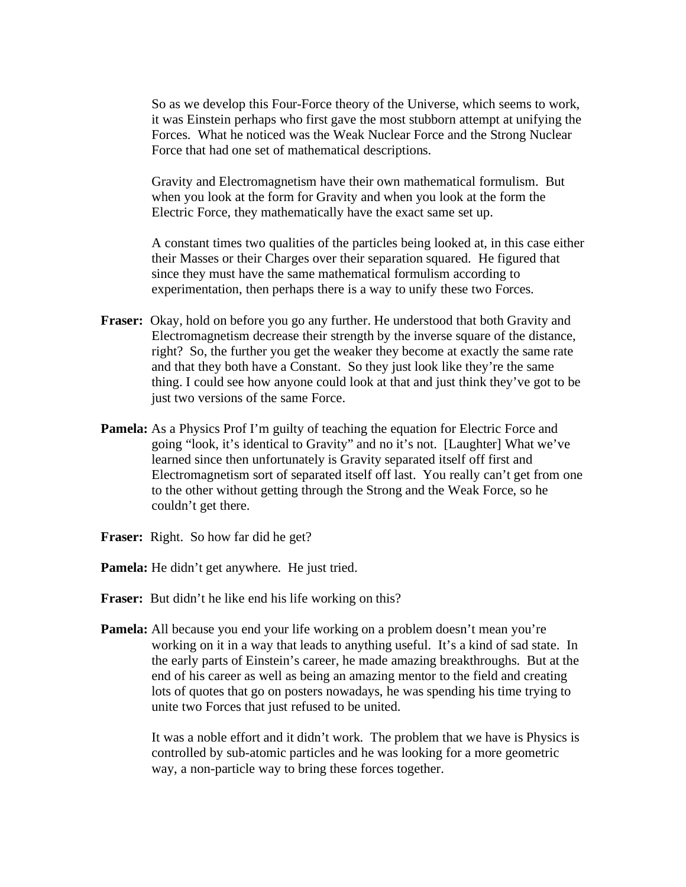So as we develop this Four-Force theory of the Universe, which seems to work, it was Einstein perhaps who first gave the most stubborn attempt at unifying the Forces. What he noticed was the Weak Nuclear Force and the Strong Nuclear Force that had one set of mathematical descriptions.

Gravity and Electromagnetism have their own mathematical formulism. But when you look at the form for Gravity and when you look at the form the Electric Force, they mathematically have the exact same set up.

A constant times two qualities of the particles being looked at, in this case either their Masses or their Charges over their separation squared. He figured that since they must have the same mathematical formulism according to experimentation, then perhaps there is a way to unify these two Forces.

- **Fraser:** Okay, hold on before you go any further. He understood that both Gravity and Electromagnetism decrease their strength by the inverse square of the distance, right? So, the further you get the weaker they become at exactly the same rate and that they both have a Constant. So they just look like they're the same thing. I could see how anyone could look at that and just think they've got to be just two versions of the same Force.
- **Pamela:** As a Physics Prof I'm guilty of teaching the equation for Electric Force and going "look, it's identical to Gravity" and no it's not. [Laughter] What we've learned since then unfortunately is Gravity separated itself off first and Electromagnetism sort of separated itself off last. You really can't get from one to the other without getting through the Strong and the Weak Force, so he couldn't get there.
- **Fraser:** Right. So how far did he get?
- **Pamela:** He didn't get anywhere. He just tried.
- Fraser: But didn't he like end his life working on this?
- **Pamela:** All because you end your life working on a problem doesn't mean you're working on it in a way that leads to anything useful. It's a kind of sad state. In the early parts of Einstein's career, he made amazing breakthroughs. But at the end of his career as well as being an amazing mentor to the field and creating lots of quotes that go on posters nowadays, he was spending his time trying to unite two Forces that just refused to be united.

It was a noble effort and it didn't work. The problem that we have is Physics is controlled by sub-atomic particles and he was looking for a more geometric way, a non-particle way to bring these forces together.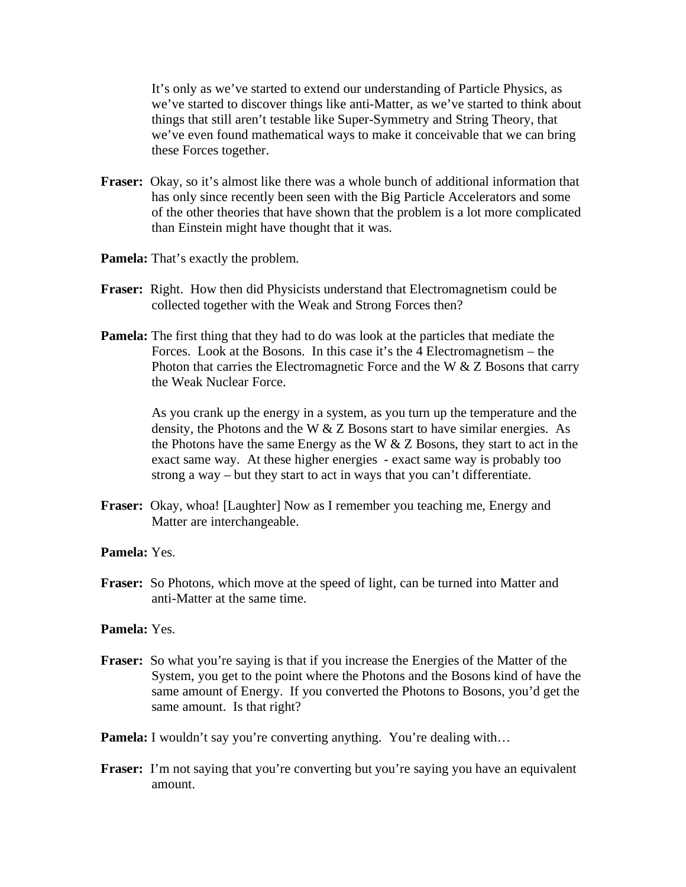It's only as we've started to extend our understanding of Particle Physics, as we've started to discover things like anti-Matter, as we've started to think about things that still aren't testable like Super-Symmetry and String Theory, that we've even found mathematical ways to make it conceivable that we can bring these Forces together.

- **Fraser:** Okay, so it's almost like there was a whole bunch of additional information that has only since recently been seen with the Big Particle Accelerators and some of the other theories that have shown that the problem is a lot more complicated than Einstein might have thought that it was.
- **Pamela:** That's exactly the problem.
- **Fraser:** Right. How then did Physicists understand that Electromagnetism could be collected together with the Weak and Strong Forces then?
- **Pamela:** The first thing that they had to do was look at the particles that mediate the Forces. Look at the Bosons. In this case it's the 4 Electromagnetism – the Photon that carries the Electromagnetic Force and the W & Z Bosons that carry the Weak Nuclear Force.

As you crank up the energy in a system, as you turn up the temperature and the density, the Photons and the W & Z Bosons start to have similar energies. As the Photons have the same Energy as the W & Z Bosons, they start to act in the exact same way. At these higher energies - exact same way is probably too strong a way – but they start to act in ways that you can't differentiate.

- **Fraser:** Okay, whoa! [Laughter] Now as I remember you teaching me, Energy and Matter are interchangeable.
- **Pamela:** Yes.
- **Fraser:** So Photons, which move at the speed of light, can be turned into Matter and anti-Matter at the same time.

## **Pamela:** Yes.

- **Fraser:** So what you're saying is that if you increase the Energies of the Matter of the System, you get to the point where the Photons and the Bosons kind of have the same amount of Energy. If you converted the Photons to Bosons, you'd get the same amount. Is that right?
- **Pamela:** I wouldn't say you're converting anything. You're dealing with...
- **Fraser:** I'm not saying that you're converting but you're saying you have an equivalent amount.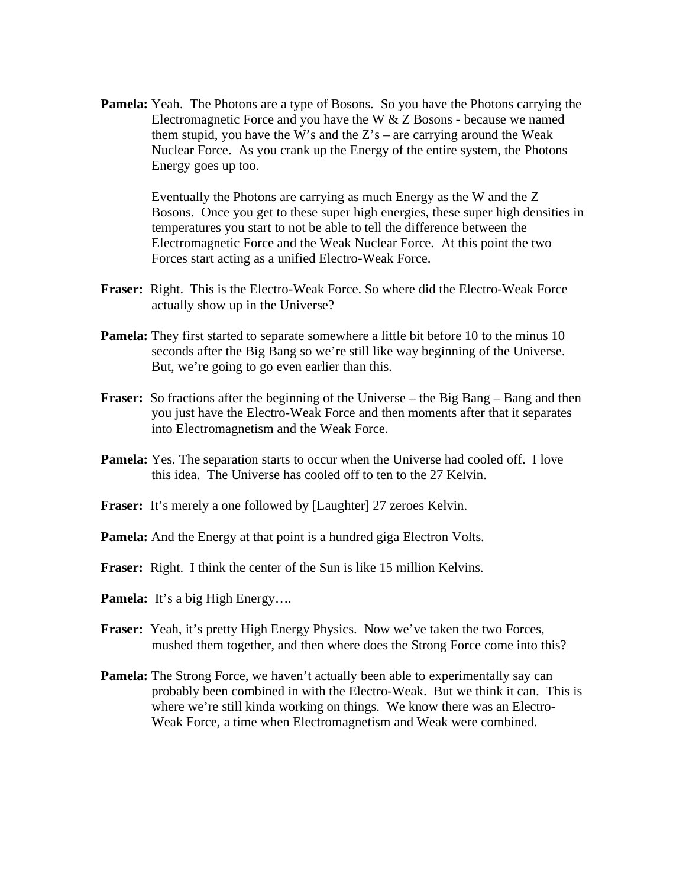**Pamela:** Yeah. The Photons are a type of Bosons. So you have the Photons carrying the Electromagnetic Force and you have the W & Z Bosons - because we named them stupid, you have the W's and the  $Z's$  – are carrying around the Weak Nuclear Force. As you crank up the Energy of the entire system, the Photons Energy goes up too.

> Eventually the Photons are carrying as much Energy as the W and the Z Bosons. Once you get to these super high energies, these super high densities in temperatures you start to not be able to tell the difference between the Electromagnetic Force and the Weak Nuclear Force. At this point the two Forces start acting as a unified Electro-Weak Force.

- **Fraser:** Right. This is the Electro-Weak Force. So where did the Electro-Weak Force actually show up in the Universe?
- **Pamela:** They first started to separate somewhere a little bit before 10 to the minus 10 seconds after the Big Bang so we're still like way beginning of the Universe. But, we're going to go even earlier than this.
- **Fraser:** So fractions after the beginning of the Universe the Big Bang Bang and then you just have the Electro-Weak Force and then moments after that it separates into Electromagnetism and the Weak Force.
- **Pamela:** Yes. The separation starts to occur when the Universe had cooled off. I love this idea. The Universe has cooled off to ten to the 27 Kelvin.
- **Fraser:** It's merely a one followed by [Laughter] 27 zeroes Kelvin.
- **Pamela:** And the Energy at that point is a hundred giga Electron Volts.
- **Fraser:** Right. I think the center of the Sun is like 15 million Kelvins.
- **Pamela:** It's a big High Energy….
- **Fraser:** Yeah, it's pretty High Energy Physics. Now we've taken the two Forces, mushed them together, and then where does the Strong Force come into this?
- **Pamela:** The Strong Force, we haven't actually been able to experimentally say can probably been combined in with the Electro-Weak. But we think it can. This is where we're still kinda working on things. We know there was an Electro-Weak Force, a time when Electromagnetism and Weak were combined.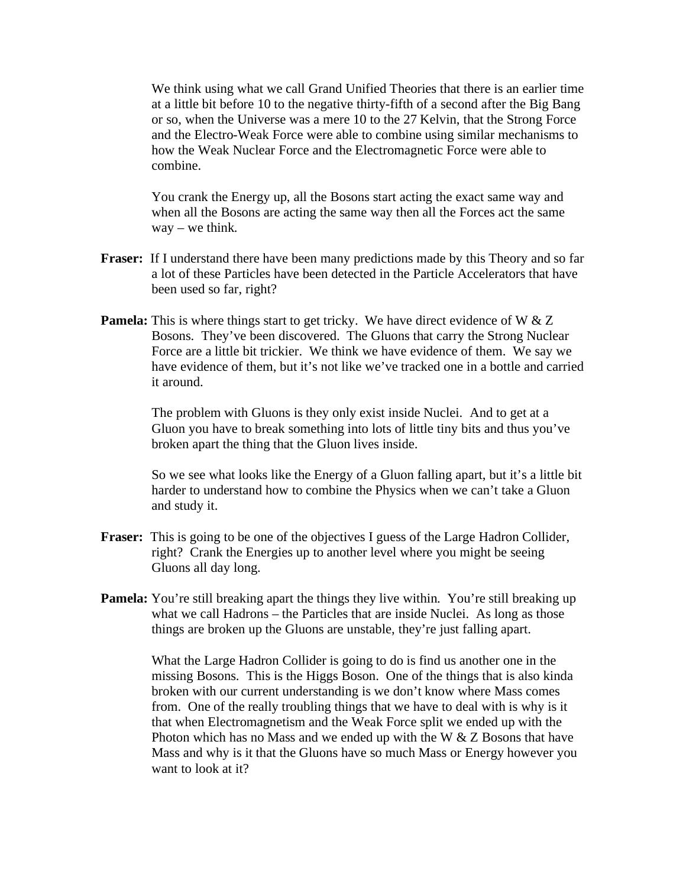We think using what we call Grand Unified Theories that there is an earlier time at a little bit before 10 to the negative thirty-fifth of a second after the Big Bang or so, when the Universe was a mere 10 to the 27 Kelvin, that the Strong Force and the Electro-Weak Force were able to combine using similar mechanisms to how the Weak Nuclear Force and the Electromagnetic Force were able to combine.

You crank the Energy up, all the Bosons start acting the exact same way and when all the Bosons are acting the same way then all the Forces act the same way – we think.

- **Fraser:** If I understand there have been many predictions made by this Theory and so far a lot of these Particles have been detected in the Particle Accelerators that have been used so far, right?
- **Pamela:** This is where things start to get tricky. We have direct evidence of W & Z Bosons. They've been discovered. The Gluons that carry the Strong Nuclear Force are a little bit trickier. We think we have evidence of them. We say we have evidence of them, but it's not like we've tracked one in a bottle and carried it around.

The problem with Gluons is they only exist inside Nuclei. And to get at a Gluon you have to break something into lots of little tiny bits and thus you've broken apart the thing that the Gluon lives inside.

So we see what looks like the Energy of a Gluon falling apart, but it's a little bit harder to understand how to combine the Physics when we can't take a Gluon and study it.

- **Fraser:** This is going to be one of the objectives I guess of the Large Hadron Collider, right? Crank the Energies up to another level where you might be seeing Gluons all day long.
- **Pamela:** You're still breaking apart the things they live within. You're still breaking up what we call Hadrons – the Particles that are inside Nuclei. As long as those things are broken up the Gluons are unstable, they're just falling apart.

What the Large Hadron Collider is going to do is find us another one in the missing Bosons. This is the Higgs Boson. One of the things that is also kinda broken with our current understanding is we don't know where Mass comes from. One of the really troubling things that we have to deal with is why is it that when Electromagnetism and the Weak Force split we ended up with the Photon which has no Mass and we ended up with the W & Z Bosons that have Mass and why is it that the Gluons have so much Mass or Energy however you want to look at it?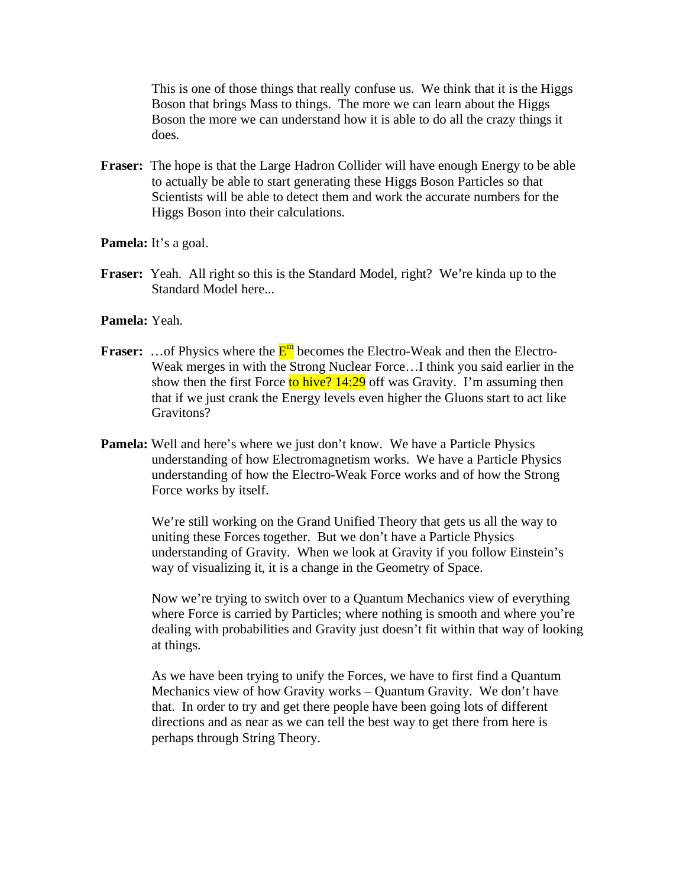This is one of those things that really confuse us. We think that it is the Higgs Boson that brings Mass to things. The more we can learn about the Higgs Boson the more we can understand how it is able to do all the crazy things it does.

- **Fraser:** The hope is that the Large Hadron Collider will have enough Energy to be able to actually be able to start generating these Higgs Boson Particles so that Scientists will be able to detect them and work the accurate numbers for the Higgs Boson into their calculations.
- Pamela: It's a goal.
- **Fraser:** Yeah. All right so this is the Standard Model, right? We're kinda up to the Standard Model here...
- **Pamela:** Yeah.
- **Fraser:** ... of Physics where the  $E^{m}$  becomes the Electro-Weak and then the Electro-Weak merges in with the Strong Nuclear Force…I think you said earlier in the show then the first Force to hive?  $14:29$  off was Gravity. I'm assuming then that if we just crank the Energy levels even higher the Gluons start to act like Gravitons?
- **Pamela:** Well and here's where we just don't know. We have a Particle Physics understanding of how Electromagnetism works. We have a Particle Physics understanding of how the Electro-Weak Force works and of how the Strong Force works by itself.

We're still working on the Grand Unified Theory that gets us all the way to uniting these Forces together. But we don't have a Particle Physics understanding of Gravity. When we look at Gravity if you follow Einstein's way of visualizing it, it is a change in the Geometry of Space.

Now we're trying to switch over to a Quantum Mechanics view of everything where Force is carried by Particles; where nothing is smooth and where you're dealing with probabilities and Gravity just doesn't fit within that way of looking at things.

As we have been trying to unify the Forces, we have to first find a Quantum Mechanics view of how Gravity works – Quantum Gravity. We don't have that. In order to try and get there people have been going lots of different directions and as near as we can tell the best way to get there from here is perhaps through String Theory.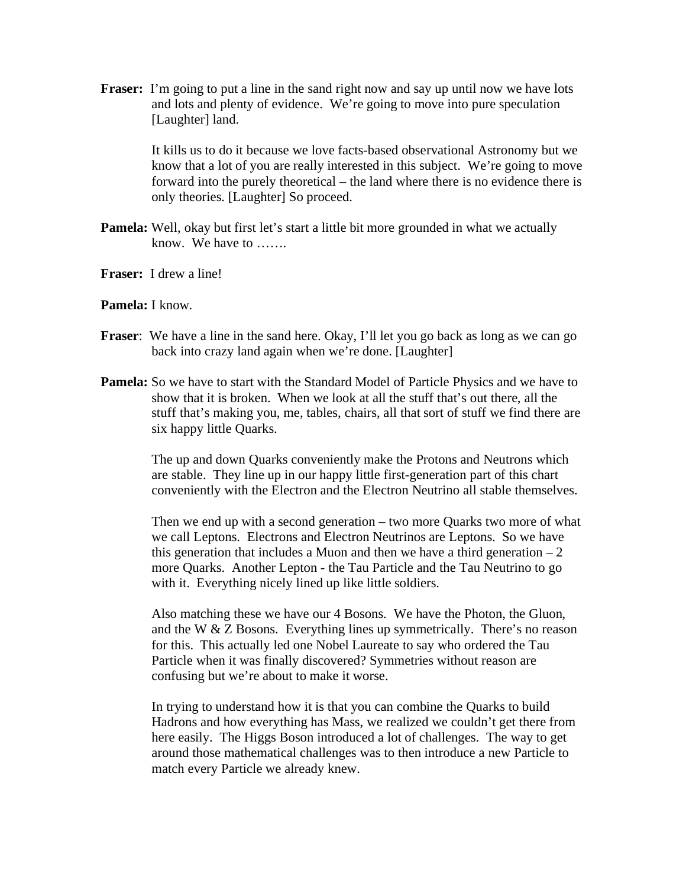**Fraser:** I'm going to put a line in the sand right now and say up until now we have lots and lots and plenty of evidence. We're going to move into pure speculation [Laughter] land.

> It kills us to do it because we love facts-based observational Astronomy but we know that a lot of you are really interested in this subject. We're going to move forward into the purely theoretical – the land where there is no evidence there is only theories. [Laughter] So proceed.

- **Pamela:** Well, okay but first let's start a little bit more grounded in what we actually know. We have to …….
- **Fraser:** I drew a line!

## **Pamela:** I know.

- **Fraser**: We have a line in the sand here. Okay, I'll let you go back as long as we can go back into crazy land again when we're done. [Laughter]
- **Pamela:** So we have to start with the Standard Model of Particle Physics and we have to show that it is broken. When we look at all the stuff that's out there, all the stuff that's making you, me, tables, chairs, all that sort of stuff we find there are six happy little Quarks.

The up and down Quarks conveniently make the Protons and Neutrons which are stable. They line up in our happy little first-generation part of this chart conveniently with the Electron and the Electron Neutrino all stable themselves.

Then we end up with a second generation – two more Quarks two more of what we call Leptons. Electrons and Electron Neutrinos are Leptons. So we have this generation that includes a Muon and then we have a third generation  $-2$ more Quarks. Another Lepton - the Tau Particle and the Tau Neutrino to go with it. Everything nicely lined up like little soldiers.

Also matching these we have our 4 Bosons. We have the Photon, the Gluon, and the W & Z Bosons. Everything lines up symmetrically. There's no reason for this. This actually led one Nobel Laureate to say who ordered the Tau Particle when it was finally discovered? Symmetries without reason are confusing but we're about to make it worse.

In trying to understand how it is that you can combine the Quarks to build Hadrons and how everything has Mass, we realized we couldn't get there from here easily. The Higgs Boson introduced a lot of challenges. The way to get around those mathematical challenges was to then introduce a new Particle to match every Particle we already knew.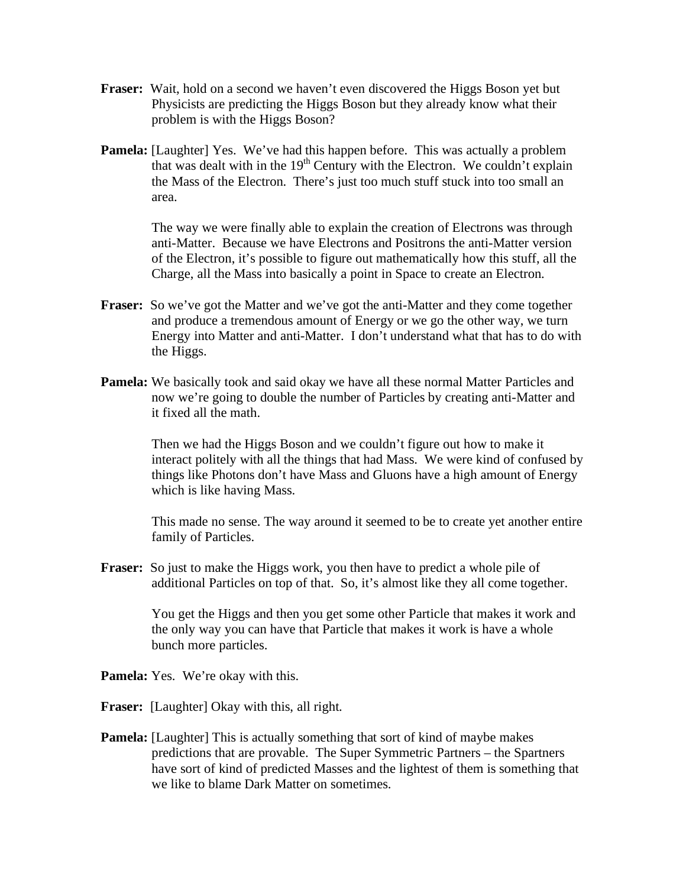- **Fraser:** Wait, hold on a second we haven't even discovered the Higgs Boson yet but Physicists are predicting the Higgs Boson but they already know what their problem is with the Higgs Boson?
- **Pamela:** [Laughter] Yes. We've had this happen before. This was actually a problem that was dealt with in the  $19<sup>th</sup>$  Century with the Electron. We couldn't explain the Mass of the Electron. There's just too much stuff stuck into too small an area.

The way we were finally able to explain the creation of Electrons was through anti-Matter. Because we have Electrons and Positrons the anti-Matter version of the Electron, it's possible to figure out mathematically how this stuff, all the Charge, all the Mass into basically a point in Space to create an Electron.

- **Fraser:** So we've got the Matter and we've got the anti-Matter and they come together and produce a tremendous amount of Energy or we go the other way, we turn Energy into Matter and anti-Matter. I don't understand what that has to do with the Higgs.
- **Pamela:** We basically took and said okay we have all these normal Matter Particles and now we're going to double the number of Particles by creating anti-Matter and it fixed all the math.

Then we had the Higgs Boson and we couldn't figure out how to make it interact politely with all the things that had Mass. We were kind of confused by things like Photons don't have Mass and Gluons have a high amount of Energy which is like having Mass.

This made no sense. The way around it seemed to be to create yet another entire family of Particles.

**Fraser:** So just to make the Higgs work, you then have to predict a whole pile of additional Particles on top of that. So, it's almost like they all come together.

> You get the Higgs and then you get some other Particle that makes it work and the only way you can have that Particle that makes it work is have a whole bunch more particles.

- **Pamela:** Yes. We're okay with this.
- **Fraser:** [Laughter] Okay with this, all right.
- **Pamela:** [Laughter] This is actually something that sort of kind of maybe makes predictions that are provable. The Super Symmetric Partners – the Spartners have sort of kind of predicted Masses and the lightest of them is something that we like to blame Dark Matter on sometimes.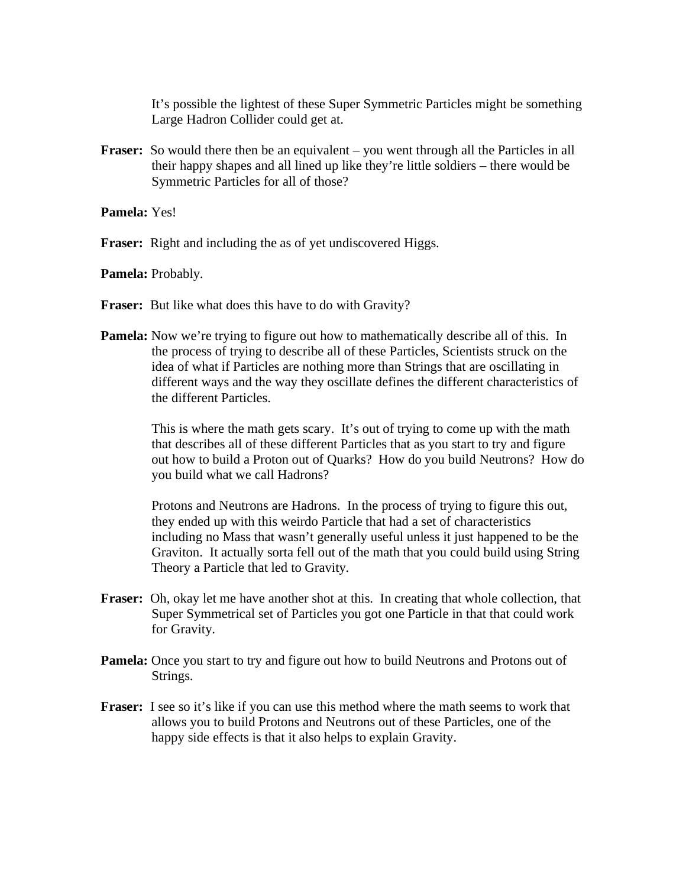It's possible the lightest of these Super Symmetric Particles might be something Large Hadron Collider could get at.

**Fraser:** So would there then be an equivalent – you went through all the Particles in all their happy shapes and all lined up like they're little soldiers – there would be Symmetric Particles for all of those?

**Pamela:** Yes!

**Fraser:** Right and including the as of yet undiscovered Higgs.

**Pamela:** Probably.

- **Fraser:** But like what does this have to do with Gravity?
- **Pamela:** Now we're trying to figure out how to mathematically describe all of this. In the process of trying to describe all of these Particles, Scientists struck on the idea of what if Particles are nothing more than Strings that are oscillating in different ways and the way they oscillate defines the different characteristics of the different Particles.

This is where the math gets scary. It's out of trying to come up with the math that describes all of these different Particles that as you start to try and figure out how to build a Proton out of Quarks? How do you build Neutrons? How do you build what we call Hadrons?

Protons and Neutrons are Hadrons. In the process of trying to figure this out, they ended up with this weirdo Particle that had a set of characteristics including no Mass that wasn't generally useful unless it just happened to be the Graviton. It actually sorta fell out of the math that you could build using String Theory a Particle that led to Gravity.

- **Fraser:** Oh, okay let me have another shot at this. In creating that whole collection, that Super Symmetrical set of Particles you got one Particle in that that could work for Gravity.
- **Pamela:** Once you start to try and figure out how to build Neutrons and Protons out of Strings.
- **Fraser:** I see so it's like if you can use this method where the math seems to work that allows you to build Protons and Neutrons out of these Particles, one of the happy side effects is that it also helps to explain Gravity.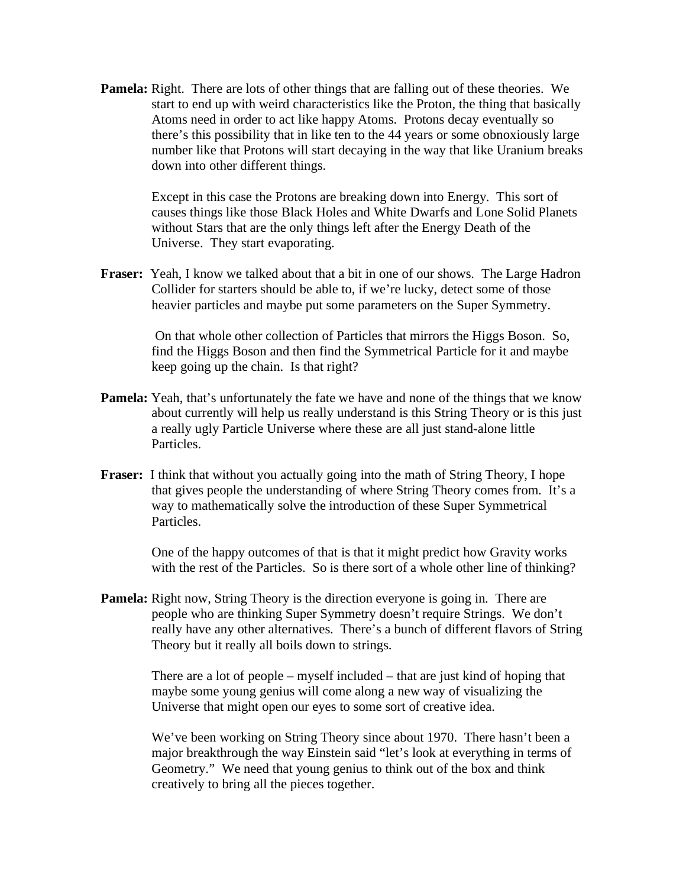**Pamela:** Right. There are lots of other things that are falling out of these theories. We start to end up with weird characteristics like the Proton, the thing that basically Atoms need in order to act like happy Atoms. Protons decay eventually so there's this possibility that in like ten to the 44 years or some obnoxiously large number like that Protons will start decaying in the way that like Uranium breaks down into other different things.

> Except in this case the Protons are breaking down into Energy. This sort of causes things like those Black Holes and White Dwarfs and Lone Solid Planets without Stars that are the only things left after the Energy Death of the Universe. They start evaporating.

**Fraser:** Yeah, I know we talked about that a bit in one of our shows. The Large Hadron Collider for starters should be able to, if we're lucky, detect some of those heavier particles and maybe put some parameters on the Super Symmetry.

> On that whole other collection of Particles that mirrors the Higgs Boson. So, find the Higgs Boson and then find the Symmetrical Particle for it and maybe keep going up the chain. Is that right?

- **Pamela:** Yeah, that's unfortunately the fate we have and none of the things that we know about currently will help us really understand is this String Theory or is this just a really ugly Particle Universe where these are all just stand-alone little Particles.
- **Fraser:** I think that without you actually going into the math of String Theory, I hope that gives people the understanding of where String Theory comes from. It's a way to mathematically solve the introduction of these Super Symmetrical Particles.

One of the happy outcomes of that is that it might predict how Gravity works with the rest of the Particles. So is there sort of a whole other line of thinking?

**Pamela:** Right now, String Theory is the direction everyone is going in. There are people who are thinking Super Symmetry doesn't require Strings. We don't really have any other alternatives. There's a bunch of different flavors of String Theory but it really all boils down to strings.

> There are a lot of people – myself included – that are just kind of hoping that maybe some young genius will come along a new way of visualizing the Universe that might open our eyes to some sort of creative idea.

We've been working on String Theory since about 1970. There hasn't been a major breakthrough the way Einstein said "let's look at everything in terms of Geometry." We need that young genius to think out of the box and think creatively to bring all the pieces together.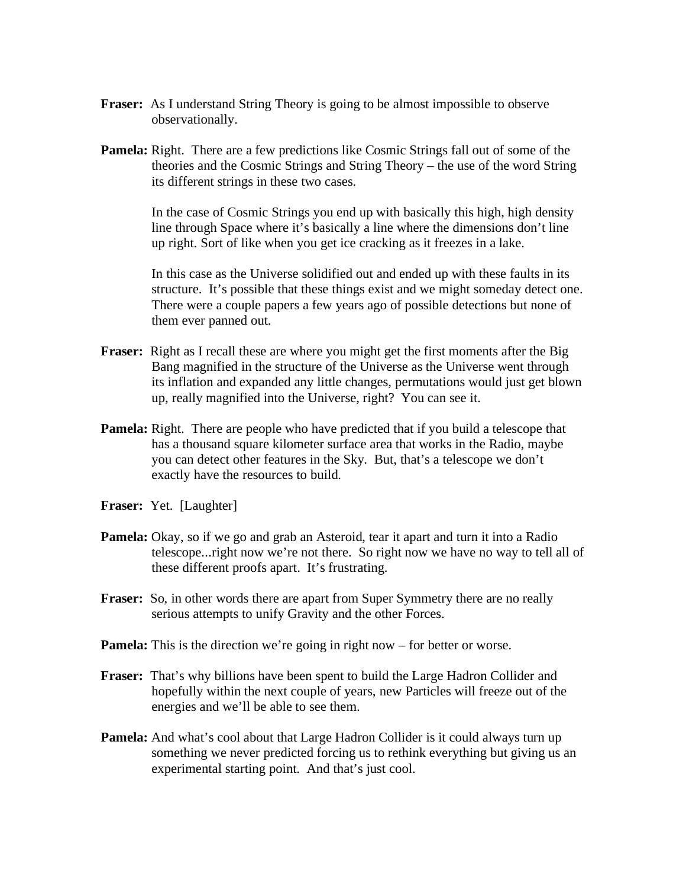- **Fraser:** As I understand String Theory is going to be almost impossible to observe observationally.
- **Pamela:** Right. There are a few predictions like Cosmic Strings fall out of some of the theories and the Cosmic Strings and String Theory – the use of the word String its different strings in these two cases.

In the case of Cosmic Strings you end up with basically this high, high density line through Space where it's basically a line where the dimensions don't line up right. Sort of like when you get ice cracking as it freezes in a lake.

In this case as the Universe solidified out and ended up with these faults in its structure. It's possible that these things exist and we might someday detect one. There were a couple papers a few years ago of possible detections but none of them ever panned out.

- **Fraser:** Right as I recall these are where you might get the first moments after the Big Bang magnified in the structure of the Universe as the Universe went through its inflation and expanded any little changes, permutations would just get blown up, really magnified into the Universe, right? You can see it.
- **Pamela:** Right. There are people who have predicted that if you build a telescope that has a thousand square kilometer surface area that works in the Radio, maybe you can detect other features in the Sky. But, that's a telescope we don't exactly have the resources to build.
- **Fraser:** Yet. [Laughter]
- **Pamela:** Okay, so if we go and grab an Asteroid, tear it apart and turn it into a Radio telescope...right now we're not there. So right now we have no way to tell all of these different proofs apart. It's frustrating.
- **Fraser:** So, in other words there are apart from Super Symmetry there are no really serious attempts to unify Gravity and the other Forces.
- **Pamela:** This is the direction we're going in right now for better or worse.
- **Fraser:** That's why billions have been spent to build the Large Hadron Collider and hopefully within the next couple of years, new Particles will freeze out of the energies and we'll be able to see them.
- **Pamela:** And what's cool about that Large Hadron Collider is it could always turn up something we never predicted forcing us to rethink everything but giving us an experimental starting point. And that's just cool.